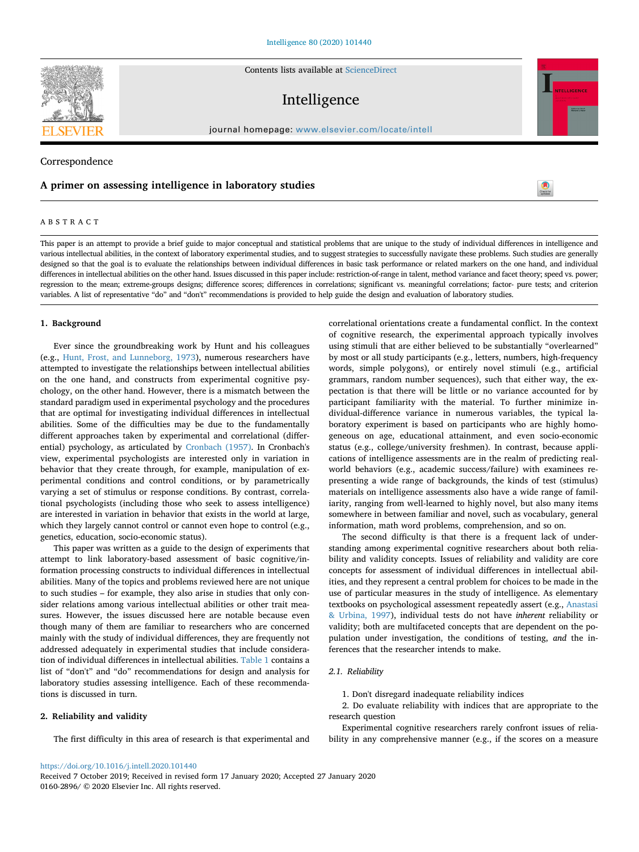Contents lists available at [ScienceDirect](http://www.sciencedirect.com/science/journal/01602896)

# Intelligence

journal homepage: [www.elsevier.com/locate/intell](https://www.elsevier.com/locate/intell)

# Correspondence

# **A primer on assessing intelligence in laboratory studies**

# ABSTRACT

This paper is an attempt to provide a brief guide to major conceptual and statistical problems that are unique to the study of individual differences in intelligence and various intellectual abilities, in the context of laboratory experimental studies, and to suggest strategies to successfully navigate these problems. Such studies are generally designed so that the goal is to evaluate the relationships between individual differences in basic task performance or related markers on the one hand, and individual differences in intellectual abilities on the other hand. Issues discussed in this paper include: restriction-of-range in talent, method variance and facet theory; speed vs. power; regression to the mean; extreme-groups designs; difference scores; differences in correlations; significant vs. meaningful correlations; factor- pure tests; and criterion variables. A list of representative "do" and "don't" recommendations is provided to help guide the design and evaluation of laboratory studies.

#### **1. Background**

Ever since the groundbreaking work by Hunt and his colleagues (e.g., [Hunt, Frost, and Lunneborg, 1973](#page-9-0)), numerous researchers have attempted to investigate the relationships between intellectual abilities on the one hand, and constructs from experimental cognitive psychology, on the other hand. However, there is a mismatch between the standard paradigm used in experimental psychology and the procedures that are optimal for investigating individual differences in intellectual abilities. Some of the difficulties may be due to the fundamentally different approaches taken by experimental and correlational (differential) psychology, as articulated by [Cronbach \(1957\)](#page-8-0). In Cronbach's view, experimental psychologists are interested only in variation in behavior that they create through, for example, manipulation of experimental conditions and control conditions, or by parametrically varying a set of stimulus or response conditions. By contrast, correlational psychologists (including those who seek to assess intelligence) are interested in variation in behavior that exists in the world at large, which they largely cannot control or cannot even hope to control (e.g., genetics, education, socio-economic status).

This paper was written as a guide to the design of experiments that attempt to link laboratory-based assessment of basic cognitive/information processing constructs to individual differences in intellectual abilities. Many of the topics and problems reviewed here are not unique to such studies – for example, they also arise in studies that only consider relations among various intellectual abilities or other trait measures. However, the issues discussed here are notable because even though many of them are familiar to researchers who are concerned mainly with the study of individual differences, they are frequently not addressed adequately in experimental studies that include consideration of individual differences in intellectual abilities. [Table 1](#page-1-0) contains a list of "don't" and "do" recommendations for design and analysis for laboratory studies assessing intelligence. Each of these recommendations is discussed in turn.

## **2. Reliability and validity**

The first difficulty in this area of research is that experimental and

of cognitive research, the experimental approach typically involves using stimuli that are either believed to be substantially "overlearned" by most or all study participants (e.g., letters, numbers, high-frequency words, simple polygons), or entirely novel stimuli (e.g., artificial grammars, random number sequences), such that either way, the expectation is that there will be little or no variance accounted for by participant familiarity with the material. To further minimize individual-difference variance in numerous variables, the typical laboratory experiment is based on participants who are highly homogeneous on age, educational attainment, and even socio-economic status (e.g., college/university freshmen). In contrast, because applications of intelligence assessments are in the realm of predicting realworld behaviors (e.g., academic success/failure) with examinees representing a wide range of backgrounds, the kinds of test (stimulus) materials on intelligence assessments also have a wide range of familiarity, ranging from well-learned to highly novel, but also many items somewhere in between familiar and novel, such as vocabulary, general information, math word problems, comprehension, and so on.

correlational orientations create a fundamental conflict. In the context

The second difficulty is that there is a frequent lack of understanding among experimental cognitive researchers about both reliability and validity concepts. Issues of reliability and validity are core concepts for assessment of individual differences in intellectual abilities, and they represent a central problem for choices to be made in the use of particular measures in the study of intelligence. As elementary textbooks on psychological assessment repeatedly assert (e.g., [Anastasi](#page-8-1) [& Urbina, 1997](#page-8-1)), individual tests do not have *inherent* reliability or validity; both are multifaceted concepts that are dependent on the population under investigation, the conditions of testing, *and* the inferences that the researcher intends to make.

# *2.1. Reliability*

1. Don't disregard inadequate reliability indices

2. Do evaluate reliability with indices that are appropriate to the research question

Experimental cognitive researchers rarely confront issues of reliability in any comprehensive manner (e.g., if the scores on a measure

<https://doi.org/10.1016/j.intell.2020.101440>

Received 7 October 2019; Received in revised form 17 January 2020; Accepted 27 January 2020 0160-2896/ © 2020 Elsevier Inc. All rights reserved.





t,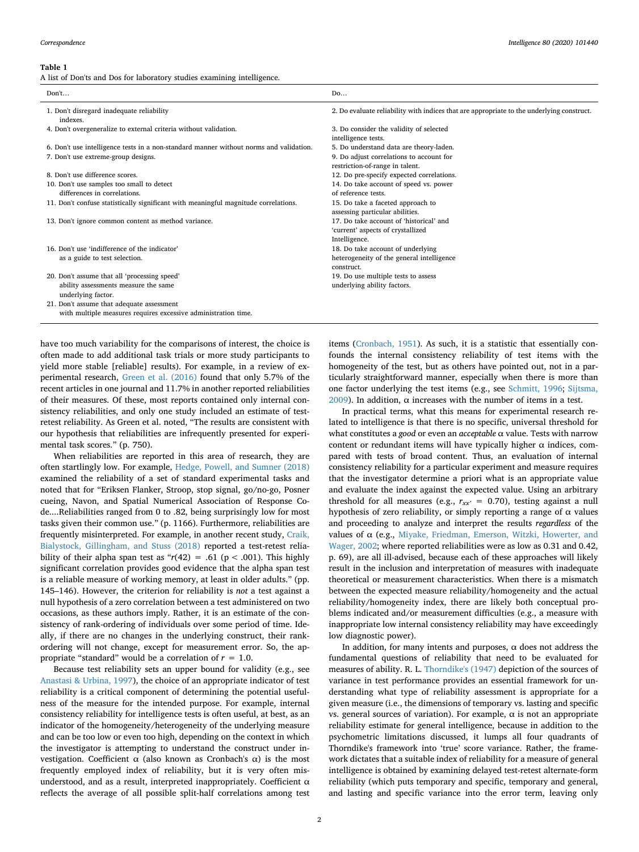#### <span id="page-1-0"></span>**Table 1**

A list of Don'ts and Dos for laboratory studies examining intelligence.

| Don't                                                                                                                                                                                    | Do                                                                                                                                                                                                                                                               |
|------------------------------------------------------------------------------------------------------------------------------------------------------------------------------------------|------------------------------------------------------------------------------------------------------------------------------------------------------------------------------------------------------------------------------------------------------------------|
| 1. Don't disregard inadequate reliability<br>indexes.                                                                                                                                    | 2. Do evaluate reliability with indices that are appropriate to the underlying construct.                                                                                                                                                                        |
| 4. Don't overgeneralize to external criteria without validation.                                                                                                                         | 3. Do consider the validity of selected<br>intelligence tests.                                                                                                                                                                                                   |
| 6. Don't use intelligence tests in a non-standard manner without norms and validation.                                                                                                   | 5. Do understand data are theory-laden.                                                                                                                                                                                                                          |
|                                                                                                                                                                                          |                                                                                                                                                                                                                                                                  |
| 8. Don't use difference scores.                                                                                                                                                          |                                                                                                                                                                                                                                                                  |
| 10. Don't use samples too small to detect                                                                                                                                                | 14. Do take account of speed vs. power                                                                                                                                                                                                                           |
| differences in correlations.                                                                                                                                                             | of reference tests.                                                                                                                                                                                                                                              |
| 11. Don't confuse statistically significant with meaningful magnitude correlations.                                                                                                      | 15. Do take a faceted approach to<br>assessing particular abilities.                                                                                                                                                                                             |
| 13. Don't ignore common content as method variance.                                                                                                                                      | 17. Do take account of 'historical' and                                                                                                                                                                                                                          |
|                                                                                                                                                                                          |                                                                                                                                                                                                                                                                  |
|                                                                                                                                                                                          |                                                                                                                                                                                                                                                                  |
|                                                                                                                                                                                          |                                                                                                                                                                                                                                                                  |
|                                                                                                                                                                                          | construct.                                                                                                                                                                                                                                                       |
| 20. Don't assume that all 'processing speed'                                                                                                                                             | 19. Do use multiple tests to assess                                                                                                                                                                                                                              |
| ability assessments measure the same                                                                                                                                                     | underlying ability factors.                                                                                                                                                                                                                                      |
|                                                                                                                                                                                          |                                                                                                                                                                                                                                                                  |
| with multiple measures requires excessive administration time.                                                                                                                           |                                                                                                                                                                                                                                                                  |
| 7. Don't use extreme-group designs.<br>16. Don't use 'indifference of the indicator'<br>as a guide to test selection.<br>underlying factor.<br>21. Don't assume that adequate assessment | 9. Do adjust correlations to account for<br>restriction-of-range in talent.<br>12. Do pre-specify expected correlations.<br>'current' aspects of crystallized<br>Intelligence.<br>18. Do take account of underlying<br>heterogeneity of the general intelligence |

have too much variability for the comparisons of interest, the choice is often made to add additional task trials or more study participants to yield more stable [reliable] results). For example, in a review of experimental research, [Green et al. \(2016\)](#page-8-2) found that only 5.7% of the recent articles in one journal and 11.7% in another reported reliabilities of their measures. Of these, most reports contained only internal consistency reliabilities, and only one study included an estimate of testretest reliability. As Green et al. noted, "The results are consistent with our hypothesis that reliabilities are infrequently presented for experimental task scores." (p. 750).

When reliabilities are reported in this area of research, they are often startlingly low. For example, [Hedge, Powell, and Sumner \(2018\)](#page-8-3) examined the reliability of a set of standard experimental tasks and noted that for "Eriksen Flanker, Stroop, stop signal, go/no-go, Posner cueing, Navon, and Spatial Numerical Association of Response Code....Reliabilities ranged from 0 to .82, being surprisingly low for most tasks given their common use." (p. 1166). Furthermore, reliabilities are frequently misinterpreted. For example, in another recent study, [Craik,](#page-8-4) [Bialystock, Gillingham, and Stuss \(2018\)](#page-8-4) reported a test-retest reliability of their alpha span test as " $r(42) = .61$  ( $p < .001$ ). This highly significant correlation provides good evidence that the alpha span test is a reliable measure of working memory, at least in older adults." (pp. 145–146). However, the criterion for reliability is *not* a test against a null hypothesis of a zero correlation between a test administered on two occasions, as these authors imply. Rather, it is an estimate of the consistency of rank-ordering of individuals over some period of time. Ideally, if there are no changes in the underlying construct, their rankordering will not change, except for measurement error. So, the appropriate "standard" would be a correlation of *r* = 1.0.

Because test reliability sets an upper bound for validity (e.g., see [Anastasi & Urbina, 1997\)](#page-8-1), the choice of an appropriate indicator of test reliability is a critical component of determining the potential usefulness of the measure for the intended purpose. For example, internal consistency reliability for intelligence tests is often useful, at best, as an indicator of the homogeneity/heterogeneity of the underlying measure and can be too low or even too high, depending on the context in which the investigator is attempting to understand the construct under investigation. Coefficient  $\alpha$  (also known as Cronbach's α) is the most frequently employed index of reliability, but it is very often misunderstood, and as a result, interpreted inappropriately. Coefficient  $\alpha$ reflects the average of all possible split-half correlations among test

items ([Cronbach, 1951\)](#page-8-5). As such, it is a statistic that essentially confounds the internal consistency reliability of test items with the homogeneity of the test, but as others have pointed out, not in a particularly straightforward manner, especially when there is more than one factor underlying the test items (e.g., see [Schmitt, 1996;](#page-9-1) [Sijtsma,](#page-9-2) [2009\)](#page-9-2). In addition, α increases with the number of items in a test.

In practical terms, what this means for experimental research related to intelligence is that there is no specific, universal threshold for what constitutes a *good* or even an *acceptable* α value. Tests with narrow content or redundant items will have typically higher  $\alpha$  indices, compared with tests of broad content. Thus, an evaluation of internal consistency reliability for a particular experiment and measure requires that the investigator determine a priori what is an appropriate value and evaluate the index against the expected value. Using an arbitrary threshold for all measures (e.g.,  $r_{xx'} = 0.70$ ), testing against a null hypothesis of zero reliability, or simply reporting a range of α values and proceeding to analyze and interpret the results *regardless* of the values of  $α$  (e.g., [Miyake, Friedman, Emerson, Witzki, Howerter, and](#page-9-3) [Wager, 2002;](#page-9-3) where reported reliabilities were as low as 0.31 and 0.42, p. 69), are all ill-advised, because each of these approaches will likely result in the inclusion and interpretation of measures with inadequate theoretical or measurement characteristics. When there is a mismatch between the expected measure reliability/homogeneity and the actual reliability/homogeneity index, there are likely both conceptual problems indicated and/or measurement difficulties (e.g., a measure with inappropriate low internal consistency reliability may have exceedingly low diagnostic power).

In addition, for many intents and purposes,  $\alpha$  does not address the fundamental questions of reliability that need to be evaluated for measures of ability. R. L. [Thorndike's \(1947\)](#page-9-4) depiction of the sources of variance in test performance provides an essential framework for understanding what type of reliability assessment is appropriate for a given measure (i.e., the dimensions of temporary vs. lasting and specific vs. general sources of variation). For example, α is not an appropriate reliability estimate for general intelligence, because in addition to the psychometric limitations discussed, it lumps all four quadrants of Thorndike's framework into 'true' score variance. Rather, the framework dictates that a suitable index of reliability for a measure of general intelligence is obtained by examining delayed test-retest alternate-form reliability (which puts temporary and specific, temporary and general, and lasting and specific variance into the error term, leaving only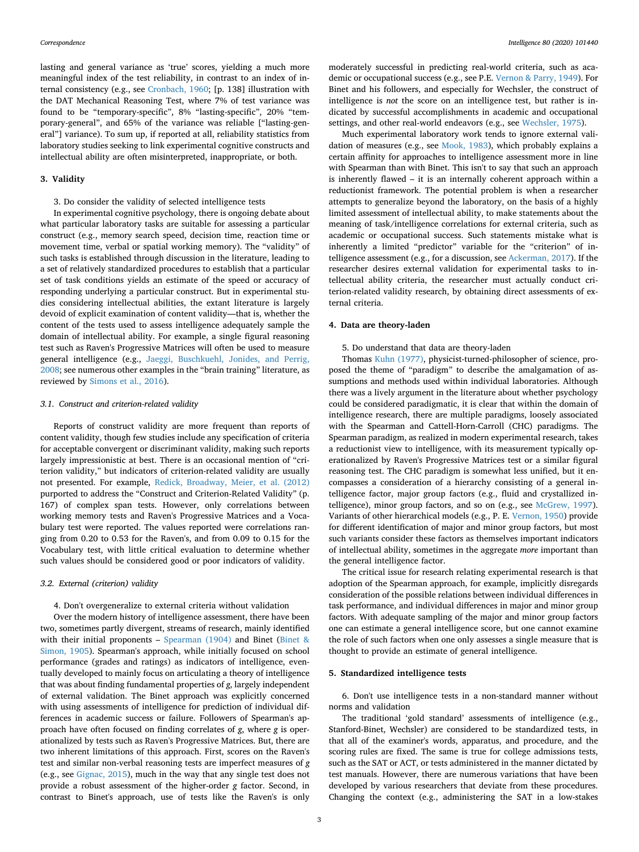lasting and general variance as 'true' scores, yielding a much more meaningful index of the test reliability, in contrast to an index of internal consistency (e.g., see [Cronbach, 1960](#page-8-6); [p. 138] illustration with the DAT Mechanical Reasoning Test, where 7% of test variance was found to be "temporary-specific", 8% "lasting-specific", 20% "temporary-general", and 65% of the variance was reliable ["lasting-general"] variance). To sum up, if reported at all, reliability statistics from laboratory studies seeking to link experimental cognitive constructs and intellectual ability are often misinterpreted, inappropriate, or both.

#### **3. Validity**

3. Do consider the validity of selected intelligence tests

In experimental cognitive psychology, there is ongoing debate about what particular laboratory tasks are suitable for assessing a particular construct (e.g., memory search speed, decision time, reaction time or movement time, verbal or spatial working memory). The "validity" of such tasks is established through discussion in the literature, leading to a set of relatively standardized procedures to establish that a particular set of task conditions yields an estimate of the speed or accuracy of responding underlying a particular construct. But in experimental studies considering intellectual abilities, the extant literature is largely devoid of explicit examination of content validity—that is, whether the content of the tests used to assess intelligence adequately sample the domain of intellectual ability. For example, a single figural reasoning test such as Raven's Progressive Matrices will often be used to measure general intelligence (e.g., [Jaeggi, Buschkuehl, Jonides, and Perrig,](#page-9-5) [2008;](#page-9-5) see numerous other examples in the "brain training" literature, as reviewed by [Simons et al., 2016\)](#page-9-6).

#### *3.1. Construct and criterion-related validity*

Reports of construct validity are more frequent than reports of content validity, though few studies include any specification of criteria for acceptable convergent or discriminant validity, making such reports largely impressionistic at best. There is an occasional mention of "criterion validity," but indicators of criterion-related validity are usually not presented. For example, [Redick, Broadway, Meier, et al. \(2012\)](#page-9-7) purported to address the "Construct and Criterion-Related Validity" (p. 167) of complex span tests. However, only correlations between working memory tests and Raven's Progressive Matrices and a Vocabulary test were reported. The values reported were correlations ranging from 0.20 to 0.53 for the Raven's, and from 0.09 to 0.15 for the Vocabulary test, with little critical evaluation to determine whether such values should be considered good or poor indicators of validity.

#### *3.2. External (criterion) validity*

#### 4. Don't overgeneralize to external criteria without validation

Over the modern history of intelligence assessment, there have been two, sometimes partly divergent, streams of research, mainly identified with their initial proponents – [Spearman \(1904\)](#page-9-8) and Binet [\(Binet &](#page-8-7) [Simon, 1905\)](#page-8-7). Spearman's approach, while initially focused on school performance (grades and ratings) as indicators of intelligence, eventually developed to mainly focus on articulating a theory of intelligence that was about finding fundamental properties of *g*, largely independent of external validation. The Binet approach was explicitly concerned with using assessments of intelligence for prediction of individual differences in academic success or failure. Followers of Spearman's approach have often focused on finding correlates of *g*, where *g* is operationalized by tests such as Raven's Progressive Matrices. But, there are two inherent limitations of this approach. First, scores on the Raven's test and similar non-verbal reasoning tests are imperfect measures of *g* (e.g., see [Gignac, 2015\)](#page-8-8), much in the way that any single test does not provide a robust assessment of the higher-order *g* factor. Second, in contrast to Binet's approach, use of tests like the Raven's is only

moderately successful in predicting real-world criteria, such as academic or occupational success (e.g., see P.E. [Vernon & Parry, 1949\)](#page-9-9). For Binet and his followers, and especially for Wechsler, the construct of intelligence is *not* the score on an intelligence test, but rather is indicated by successful accomplishments in academic and occupational settings, and other real-world endeavors (e.g., see [Wechsler, 1975\)](#page-9-10).

Much experimental laboratory work tends to ignore external validation of measures (e.g., see [Mook, 1983\)](#page-9-11), which probably explains a certain affinity for approaches to intelligence assessment more in line with Spearman than with Binet. This isn't to say that such an approach is inherently flawed – it is an internally coherent approach within a reductionist framework. The potential problem is when a researcher attempts to generalize beyond the laboratory, on the basis of a highly limited assessment of intellectual ability, to make statements about the meaning of task/intelligence correlations for external criteria, such as academic or occupational success. Such statements mistake what is inherently a limited "predictor" variable for the "criterion" of intelligence assessment (e.g., for a discussion, see [Ackerman, 2017](#page-8-9)). If the researcher desires external validation for experimental tasks to intellectual ability criteria, the researcher must actually conduct criterion-related validity research, by obtaining direct assessments of external criteria.

#### **4. Data are theory-laden**

5. Do understand that data are theory-laden

Thomas [Kuhn \(1977\),](#page-9-12) physicist-turned-philosopher of science, proposed the theme of "paradigm" to describe the amalgamation of assumptions and methods used within individual laboratories. Although there was a lively argument in the literature about whether psychology could be considered paradigmatic, it is clear that within the domain of intelligence research, there are multiple paradigms, loosely associated with the Spearman and Cattell-Horn-Carroll (CHC) paradigms. The Spearman paradigm, as realized in modern experimental research, takes a reductionist view to intelligence, with its measurement typically operationalized by Raven's Progressive Matrices test or a similar figural reasoning test. The CHC paradigm is somewhat less unified, but it encompasses a consideration of a hierarchy consisting of a general intelligence factor, major group factors (e.g., fluid and crystallized in-telligence), minor group factors, and so on (e.g., see [McGrew, 1997](#page-9-13)). Variants of other hierarchical models (e.g., P. E. [Vernon, 1950\)](#page-9-14) provide for different identification of major and minor group factors, but most such variants consider these factors as themselves important indicators of intellectual ability, sometimes in the aggregate *more* important than the general intelligence factor.

The critical issue for research relating experimental research is that adoption of the Spearman approach, for example, implicitly disregards consideration of the possible relations between individual differences in task performance, and individual differences in major and minor group factors. With adequate sampling of the major and minor group factors one can estimate a general intelligence score, but one cannot examine the role of such factors when one only assesses a single measure that is thought to provide an estimate of general intelligence.

# **5. Standardized intelligence tests**

6. Don't use intelligence tests in a non-standard manner without norms and validation

The traditional 'gold standard' assessments of intelligence (e.g., Stanford-Binet, Wechsler) are considered to be standardized tests, in that all of the examiner's words, apparatus, and procedure, and the scoring rules are fixed. The same is true for college admissions tests, such as the SAT or ACT, or tests administered in the manner dictated by test manuals. However, there are numerous variations that have been developed by various researchers that deviate from these procedures. Changing the context (e.g., administering the SAT in a low-stakes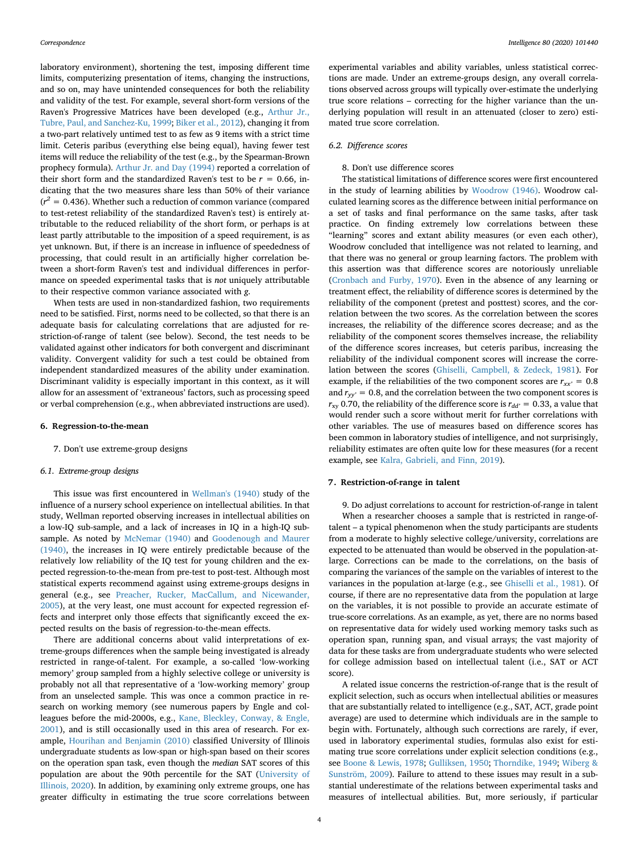laboratory environment), shortening the test, imposing different time limits, computerizing presentation of items, changing the instructions, and so on, may have unintended consequences for both the reliability and validity of the test. For example, several short-form versions of the Raven's Progressive Matrices have been developed (e.g., [Arthur Jr.,](#page-8-10) [Tubre, Paul, and Sanchez-Ku, 1999;](#page-8-10) [Biker et al., 2012\)](#page-8-11), changing it from a two-part relatively untimed test to as few as 9 items with a strict time limit. Ceteris paribus (everything else being equal), having fewer test items will reduce the reliability of the test (e.g., by the Spearman-Brown prophecy formula). [Arthur Jr. and Day \(1994\)](#page-8-12) reported a correlation of their short form and the standardized Raven's test to be  $r = 0.66$ , indicating that the two measures share less than 50% of their variance  $(r^2 = 0.436)$ . Whether such a reduction of common variance (compared to test-retest reliability of the standardized Raven's test) is entirely attributable to the reduced reliability of the short form, or perhaps is at least partly attributable to the imposition of a speed requirement, is as yet unknown. But, if there is an increase in influence of speededness of processing, that could result in an artificially higher correlation between a short-form Raven's test and individual differences in performance on speeded experimental tasks that is *not* uniquely attributable to their respective common variance associated with *g*.

When tests are used in non-standardized fashion, two requirements need to be satisfied. First, norms need to be collected, so that there is an adequate basis for calculating correlations that are adjusted for restriction-of-range of talent (see below). Second, the test needs to be validated against other indicators for both convergent and discriminant validity. Convergent validity for such a test could be obtained from independent standardized measures of the ability under examination. Discriminant validity is especially important in this context, as it will allow for an assessment of 'extraneous' factors, such as processing speed or verbal comprehension (e.g., when abbreviated instructions are used).

## **6. Regression-to-the-mean**

#### 7. Don't use extreme-group designs

#### *6.1. Extreme-group designs*

This issue was first encountered in [Wellman's \(1940\)](#page-9-15) study of the influence of a nursery school experience on intellectual abilities. In that study, Wellman reported observing increases in intellectual abilities on a low-IQ sub-sample, and a lack of increases in IQ in a high-IQ subsample. As noted by [McNemar \(1940\)](#page-9-16) and [Goodenough and Maurer](#page-8-13) [\(1940\),](#page-8-13) the increases in IQ were entirely predictable because of the relatively low reliability of the IQ test for young children and the expected regression-to-the-mean from pre-test to post-test. Although most statistical experts recommend against using extreme-groups designs in general (e.g., see [Preacher, Rucker, MacCallum, and Nicewander,](#page-9-17) [2005\)](#page-9-17), at the very least, one must account for expected regression effects and interpret only those effects that significantly exceed the expected results on the basis of regression-to-the-mean effects.

There are additional concerns about valid interpretations of extreme-groups differences when the sample being investigated is already restricted in range-of-talent. For example, a so-called 'low-working memory' group sampled from a highly selective college or university is probably not all that representative of a 'low-working memory' group from an unselected sample. This was once a common practice in research on working memory (see numerous papers by Engle and colleagues before the mid-2000s, e.g., [Kane, Bleckley, Conway, & Engle,](#page-9-18) [2001\)](#page-9-18), and is still occasionally used in this area of research. For example, [Hourihan and Benjamin \(2010\)](#page-9-19) classified University of Illinois undergraduate students as low-span or high-span based on their scores on the operation span task, even though the *median* SAT scores of this population are about the 90th percentile for the SAT ([University of](#page-9-20) [Illinois, 2020](#page-9-20)). In addition, by examining only extreme groups, one has greater difficulty in estimating the true score correlations between

experimental variables and ability variables, unless statistical corrections are made. Under an extreme-groups design, any overall correlations observed across groups will typically over-estimate the underlying true score relations – correcting for the higher variance than the underlying population will result in an attenuated (closer to zero) estimated true score correlation.

## *6.2. Difference scores*

# 8. Don't use difference scores

The statistical limitations of difference scores were first encountered in the study of learning abilities by [Woodrow \(1946\).](#page-9-21) Woodrow calculated learning scores as the difference between initial performance on a set of tasks and final performance on the same tasks, after task practice. On finding extremely low correlations between these "learning" scores and extant ability measures (or even each other), Woodrow concluded that intelligence was not related to learning, and that there was no general or group learning factors. The problem with this assertion was that difference scores are notoriously unreliable ([Cronbach and Furby, 1970\)](#page-8-14). Even in the absence of any learning or treatment effect, the reliability of difference scores is determined by the reliability of the component (pretest and posttest) scores, and the correlation between the two scores. As the correlation between the scores increases, the reliability of the difference scores decrease; and as the reliability of the component scores themselves increase, the reliability of the difference scores increases, but ceteris paribus, increasing the reliability of the individual component scores will increase the correlation between the scores ([Ghiselli, Campbell, & Zedeck, 1981\)](#page-8-15). For example, if the reliabilities of the two component scores are  $r_{xx'} = 0.8$ and  $r_{yy'} = 0.8$ , and the correlation between the two component scores is  $r_{xy}$  0.70, the reliability of the difference score is  $r_{dd'} = 0.33$ , a value that would render such a score without merit for further correlations with other variables. The use of measures based on difference scores has been common in laboratory studies of intelligence, and not surprisingly, reliability estimates are often quite low for these measures (for a recent example, see [Kalra, Gabrieli, and Finn, 2019\)](#page-9-22).

# **7. Restriction-of-range in talent**

9. Do adjust correlations to account for restriction-of-range in talent When a researcher chooses a sample that is restricted in range-oftalent – a typical phenomenon when the study participants are students from a moderate to highly selective college/university, correlations are expected to be attenuated than would be observed in the population-atlarge. Corrections can be made to the correlations, on the basis of comparing the variances of the sample on the variables of interest to the variances in the population at-large (e.g., see [Ghiselli et al., 1981](#page-8-15)). Of course, if there are no representative data from the population at large on the variables, it is not possible to provide an accurate estimate of true-score correlations. As an example, as yet, there are no norms based on representative data for widely used working memory tasks such as operation span, running span, and visual arrays; the vast majority of data for these tasks are from undergraduate students who were selected for college admission based on intellectual talent (i.e., SAT or ACT score).

A related issue concerns the restriction-of-range that is the result of explicit selection, such as occurs when intellectual abilities or measures that are substantially related to intelligence (e.g., SAT, ACT, grade point average) are used to determine which individuals are in the sample to begin with. Fortunately, although such corrections are rarely, if ever, used in laboratory experimental studies, formulas also exist for estimating true score correlations under explicit selection conditions (e.g., see [Boone & Lewis, 1978](#page-8-16); [Gulliksen, 1950;](#page-8-17) [Thorndike, 1949](#page-9-23); [Wiberg &](#page-9-24) [Sunström, 2009\)](#page-9-24). Failure to attend to these issues may result in a substantial underestimate of the relations between experimental tasks and measures of intellectual abilities. But, more seriously, if particular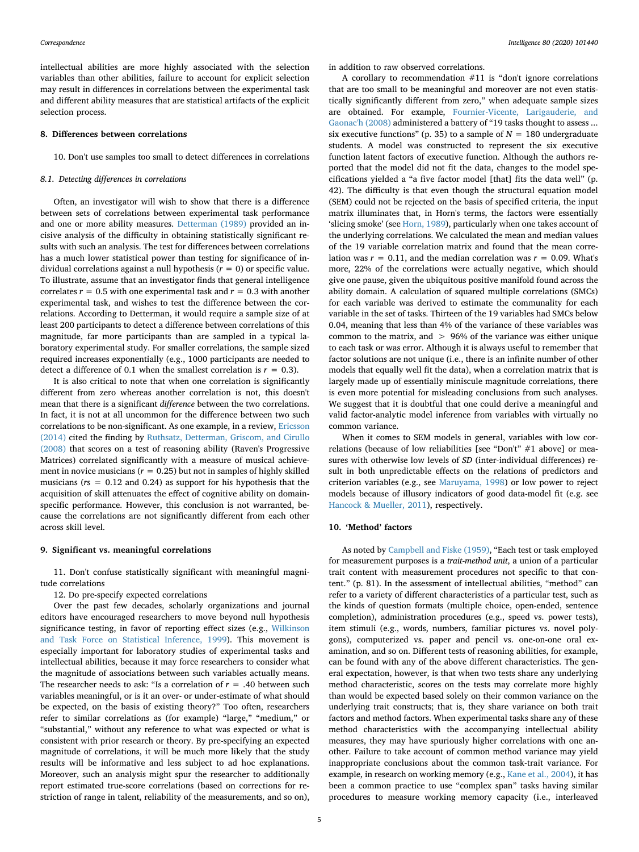intellectual abilities are more highly associated with the selection variables than other abilities, failure to account for explicit selection may result in differences in correlations between the experimental task and different ability measures that are statistical artifacts of the explicit selection process.

### **8. Differences between correlations**

10. Don't use samples too small to detect differences in correlations

# *8.1. Detecting differences in correlations*

Often, an investigator will wish to show that there is a difference between sets of correlations between experimental task performance and one or more ability measures. [Detterman \(1989\)](#page-8-18) provided an incisive analysis of the difficulty in obtaining statistically significant results with such an analysis. The test for differences between correlations has a much lower statistical power than testing for significance of individual correlations against a null hypothesis  $(r = 0)$  or specific value. To illustrate, assume that an investigator finds that general intelligence correlates  $r = 0.5$  with one experimental task and  $r = 0.3$  with another experimental task, and wishes to test the difference between the correlations. According to Detterman, it would require a sample size of at least 200 participants to detect a difference between correlations of this magnitude, far more participants than are sampled in a typical laboratory experimental study. For smaller correlations, the sample sized required increases exponentially (e.g., 1000 participants are needed to detect a difference of 0.1 when the smallest correlation is  $r = 0.3$ ).

It is also critical to note that when one correlation is significantly different from zero whereas another correlation is not, this doesn't mean that there is a significant *difference* between the two correlations. In fact, it is not at all uncommon for the difference between two such correlations to be non-significant. As one example, in a review, [Ericsson](#page-8-19) [\(2014\)](#page-8-19) cited the finding by [Ruthsatz, Detterman, Griscom, and Cirullo](#page-9-25) [\(2008\)](#page-9-25) that scores on a test of reasoning ability (Raven's Progressive Matrices) correlated significantly with a measure of musical achievement in novice musicians ( $r = 0.25$ ) but not in samples of highly skilled musicians (*r*s = 0.12 and 0.24) as support for his hypothesis that the acquisition of skill attenuates the effect of cognitive ability on domainspecific performance. However, this conclusion is not warranted, because the correlations are not significantly different from each other across skill level.

#### **9. Significant vs. meaningful correlations**

11. Don't confuse statistically significant with meaningful magnitude correlations

12. Do pre-specify expected correlations

Over the past few decades, scholarly organizations and journal editors have encouraged researchers to move beyond null hypothesis significance testing, in favor of reporting effect sizes (e.g., [Wilkinson](#page-9-26) [and Task Force on Statistical Inference, 1999](#page-9-26)). This movement is especially important for laboratory studies of experimental tasks and intellectual abilities, because it may force researchers to consider what the magnitude of associations between such variables actually means. The researcher needs to ask: "Is a correlation of  $r = .40$  between such variables meaningful, or is it an over- or under-estimate of what should be expected, on the basis of existing theory?" Too often, researchers refer to similar correlations as (for example) "large," "medium," or "substantial," without any reference to what was expected or what is consistent with prior research or theory. By pre-specifying an expected magnitude of correlations, it will be much more likely that the study results will be informative and less subject to ad hoc explanations. Moreover, such an analysis might spur the researcher to additionally report estimated true-score correlations (based on corrections for restriction of range in talent, reliability of the measurements, and so on), in addition to raw observed correlations.

A corollary to recommendation #11 is "don't ignore correlations that are too small to be meaningful and moreover are not even statistically significantly different from zero," when adequate sample sizes are obtained. For example, [Fournier-Vicente, Larigauderie, and](#page-8-20) [Gaonac'h \(2008\)](#page-8-20) administered a battery of "19 tasks thought to assess ... six executive functions" (p. 35) to a sample of  $N = 180$  undergraduate students. A model was constructed to represent the six executive function latent factors of executive function. Although the authors reported that the model did not fit the data, changes to the model specifications yielded a "a five factor model [that] fits the data well" (p. 42). The difficulty is that even though the structural equation model (SEM) could not be rejected on the basis of specified criteria, the input matrix illuminates that, in Horn's terms, the factors were essentially 'slicing smoke' (see [Horn, 1989](#page-9-27)), particularly when one takes account of the underlying correlations. We calculated the mean and median values of the 19 variable correlation matrix and found that the mean correlation was  $r = 0.11$ , and the median correlation was  $r = 0.09$ . What's more, 22% of the correlations were actually negative, which should give one pause, given the ubiquitous positive manifold found across the ability domain. A calculation of squared multiple correlations (SMCs) for each variable was derived to estimate the communality for each variable in the set of tasks. Thirteen of the 19 variables had SMCs below 0.04, meaning that less than 4% of the variance of these variables was common to the matrix, and > 96% of the variance was either unique to each task or was error. Although it is always useful to remember that factor solutions are not unique (i.e., there is an infinite number of other models that equally well fit the data), when a correlation matrix that is largely made up of essentially miniscule magnitude correlations, there is even more potential for misleading conclusions from such analyses. We suggest that it is doubtful that one could derive a meaningful and valid factor-analytic model inference from variables with virtually no common variance.

When it comes to SEM models in general, variables with low correlations (because of low reliabilities [see "Don't" #1 above] or measures with otherwise low levels of *SD* (inter-individual differences) result in both unpredictable effects on the relations of predictors and criterion variables (e.g., see [Maruyama, 1998](#page-9-28)) or low power to reject models because of illusory indicators of good data-model fit (e.g. see [Hancock & Mueller, 2011](#page-8-21)), respectively.

#### **10. 'Method' factors**

As noted by [Campbell and Fiske \(1959\)](#page-8-22), "Each test or task employed for measurement purposes is a *trait-method unit*, a union of a particular trait content with measurement procedures not specific to that content." (p. 81). In the assessment of intellectual abilities, "method" can refer to a variety of different characteristics of a particular test, such as the kinds of question formats (multiple choice, open-ended, sentence completion), administration procedures (e.g., speed vs. power tests), item stimuli (e.g., words, numbers, familiar pictures vs. novel polygons), computerized vs. paper and pencil vs. one-on-one oral examination, and so on. Different tests of reasoning abilities, for example, can be found with any of the above different characteristics. The general expectation, however, is that when two tests share any underlying method characteristic, scores on the tests may correlate more highly than would be expected based solely on their common variance on the underlying trait constructs; that is, they share variance on both trait factors and method factors. When experimental tasks share any of these method characteristics with the accompanying intellectual ability measures, they may have spuriously higher correlations with one another. Failure to take account of common method variance may yield inappropriate conclusions about the common task-trait variance. For example, in research on working memory (e.g., [Kane et al., 2004\)](#page-9-29), it has been a common practice to use "complex span" tasks having similar procedures to measure working memory capacity (i.e., interleaved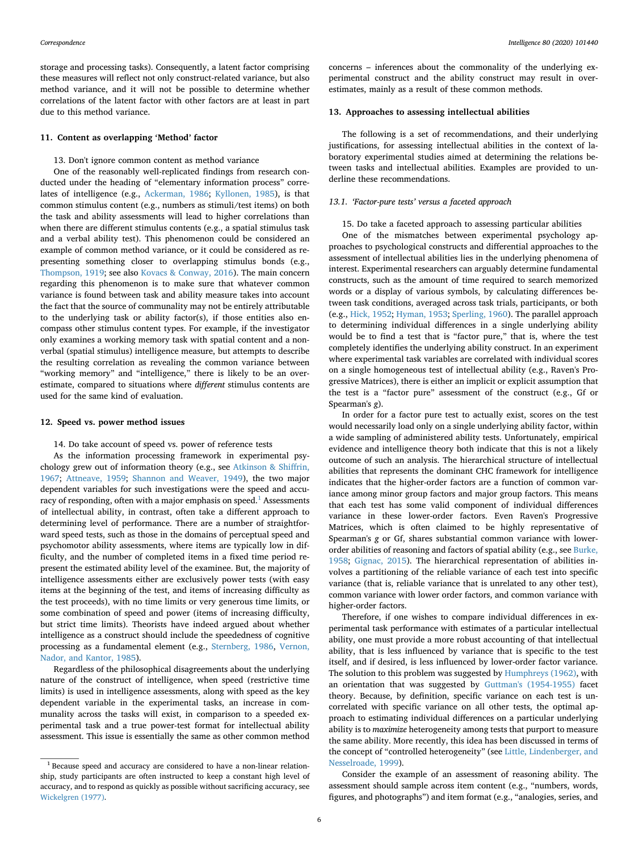storage and processing tasks). Consequently, a latent factor comprising these measures will reflect not only construct-related variance, but also method variance, and it will not be possible to determine whether correlations of the latent factor with other factors are at least in part due to this method variance.

## **11. Content as overlapping 'Method' factor**

#### 13. Don't ignore common content as method variance

One of the reasonably well-replicated findings from research conducted under the heading of "elementary information process" correlates of intelligence (e.g., [Ackerman, 1986;](#page-8-23) [Kyllonen, 1985](#page-9-30)), is that common stimulus content (e.g., numbers as stimuli/test items) on both the task and ability assessments will lead to higher correlations than when there are different stimulus contents (e.g., a spatial stimulus task and a verbal ability test). This phenomenon could be considered an example of common method variance, or it could be considered as representing something closer to overlapping stimulus bonds (e.g., [Thompson, 1919](#page-9-31); see also [Kovacs & Conway, 2016](#page-9-32)). The main concern regarding this phenomenon is to make sure that whatever common variance is found between task and ability measure takes into account the fact that the source of communality may not be entirely attributable to the underlying task or ability factor(s), if those entities also encompass other stimulus content types. For example, if the investigator only examines a working memory task with spatial content and a nonverbal (spatial stimulus) intelligence measure, but attempts to describe the resulting correlation as revealing the common variance between "working memory" and "intelligence," there is likely to be an overestimate, compared to situations where *different* stimulus contents are used for the same kind of evaluation.

#### **12. Speed vs. power method issues**

14. Do take account of speed vs. power of reference tests

As the information processing framework in experimental psychology grew out of information theory (e.g., see [Atkinson & Shiffrin,](#page-8-24) [1967;](#page-8-24) [Attneave, 1959](#page-8-25); [Shannon and Weaver, 1949](#page-9-33)), the two major dependent variables for such investigations were the speed and accu-racy of responding, often with a major emphasis on speed.<sup>[1](#page-5-0)</sup> Assessments of intellectual ability, in contrast, often take a different approach to determining level of performance. There are a number of straightforward speed tests, such as those in the domains of perceptual speed and psychomotor ability assessments, where items are typically low in difficulty, and the number of completed items in a fixed time period represent the estimated ability level of the examinee. But, the majority of intelligence assessments either are exclusively power tests (with easy items at the beginning of the test, and items of increasing difficulty as the test proceeds), with no time limits or very generous time limits, or some combination of speed and power (items of increasing difficulty, but strict time limits). Theorists have indeed argued about whether intelligence as a construct should include the speededness of cognitive processing as a fundamental element (e.g., [Sternberg, 1986,](#page-9-34) [Vernon,](#page-9-35) [Nador, and Kantor, 1985\)](#page-9-35).

Regardless of the philosophical disagreements about the underlying nature of the construct of intelligence, when speed (restrictive time limits) is used in intelligence assessments, along with speed as the key dependent variable in the experimental tasks, an increase in communality across the tasks will exist, in comparison to a speeded experimental task and a true power-test format for intellectual ability assessment. This issue is essentially the same as other common method

concerns – inferences about the commonality of the underlying experimental construct and the ability construct may result in overestimates, mainly as a result of these common methods.

#### **13. Approaches to assessing intellectual abilities**

The following is a set of recommendations, and their underlying justifications, for assessing intellectual abilities in the context of laboratory experimental studies aimed at determining the relations between tasks and intellectual abilities. Examples are provided to underline these recommendations.

#### *13.1. 'Factor-pure tests' versus a faceted approach*

## 15. Do take a faceted approach to assessing particular abilities

One of the mismatches between experimental psychology approaches to psychological constructs and differential approaches to the assessment of intellectual abilities lies in the underlying phenomena of interest. Experimental researchers can arguably determine fundamental constructs, such as the amount of time required to search memorized words or a display of various symbols, by calculating differences between task conditions, averaged across task trials, participants, or both (e.g., [Hick, 1952](#page-9-36); [Hyman, 1953](#page-9-37); [Sperling, 1960](#page-9-38)). The parallel approach to determining individual differences in a single underlying ability would be to find a test that is "factor pure," that is, where the test completely identifies the underlying ability construct. In an experiment where experimental task variables are correlated with individual scores on a single homogeneous test of intellectual ability (e.g., Raven's Progressive Matrices), there is either an implicit or explicit assumption that the test is a "factor pure" assessment of the construct (e.g., Gf or Spearman's *g*).

In order for a factor pure test to actually exist, scores on the test would necessarily load only on a single underlying ability factor, within a wide sampling of administered ability tests. Unfortunately, empirical evidence and intelligence theory both indicate that this is not a likely outcome of such an analysis. The hierarchical structure of intellectual abilities that represents the dominant CHC framework for intelligence indicates that the higher-order factors are a function of common variance among minor group factors and major group factors. This means that each test has some valid component of individual differences variance in these lower-order factors. Even Raven's Progressive Matrices, which is often claimed to be highly representative of Spearman's *g* or Gf, shares substantial common variance with lowerorder abilities of reasoning and factors of spatial ability (e.g., see [Burke,](#page-8-26) [1958;](#page-8-26) [Gignac, 2015](#page-8-8)). The hierarchical representation of abilities involves a partitioning of the reliable variance of each test into specific variance (that is, reliable variance that is unrelated to any other test), common variance with lower order factors, and common variance with higher-order factors.

Therefore, if one wishes to compare individual differences in experimental task performance with estimates of a particular intellectual ability, one must provide a more robust accounting of that intellectual ability, that is less influenced by variance that is specific to the test itself, and if desired, is less influenced by lower-order factor variance. The solution to this problem was suggested by [Humphreys \(1962\)](#page-9-39), with an orientation that was suggested by [Guttman's \(1954-1955\)](#page-8-27) facet theory. Because, by definition, specific variance on each test is uncorrelated with specific variance on all other tests, the optimal approach to estimating individual differences on a particular underlying ability is to *maximize* heterogeneity among tests that purport to measure the same ability. More recently, this idea has been discussed in terms of the concept of "controlled heterogeneity" (see [Little, Lindenberger, and](#page-9-40) [Nesselroade, 1999\)](#page-9-40).

Consider the example of an assessment of reasoning ability. The assessment should sample across item content (e.g., "numbers, words, figures, and photographs") and item format (e.g., "analogies, series, and

<span id="page-5-0"></span><sup>1</sup> Because speed and accuracy are considered to have a non-linear relationship, study participants are often instructed to keep a constant high level of accuracy, and to respond as quickly as possible without sacrificing accuracy, see [Wickelgren \(1977\)](#page-9-41).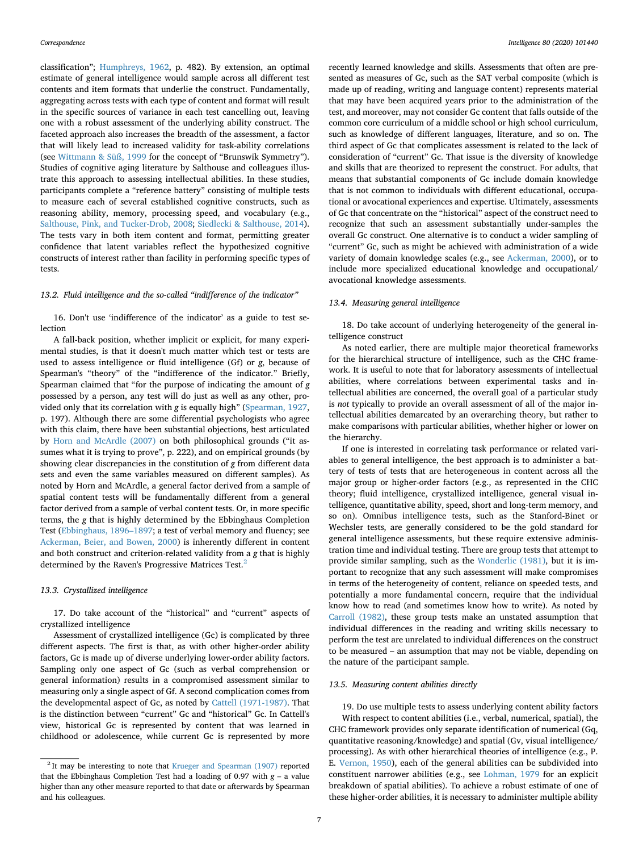classification"; [Humphreys, 1962,](#page-9-39) p. 482). By extension, an optimal estimate of general intelligence would sample across all different test contents and item formats that underlie the construct. Fundamentally, aggregating across tests with each type of content and format will result in the specific sources of variance in each test cancelling out, leaving one with a robust assessment of the underlying ability construct. The faceted approach also increases the breadth of the assessment, a factor that will likely lead to increased validity for task-ability correlations (see [Wittmann & Süß, 1999](#page-9-42) for the concept of "Brunswik Symmetry"). Studies of cognitive aging literature by Salthouse and colleagues illustrate this approach to assessing intellectual abilities. In these studies, participants complete a "reference battery" consisting of multiple tests to measure each of several established cognitive constructs, such as reasoning ability, memory, processing speed, and vocabulary (e.g., [Salthouse, Pink, and Tucker-Drob, 2008;](#page-9-43) [Siedlecki & Salthouse, 2014](#page-9-44)). The tests vary in both item content and format, permitting greater confidence that latent variables reflect the hypothesized cognitive constructs of interest rather than facility in performing specific types of tests.

## *13.2. Fluid intelligence and the so-called "indifference of the indicator"*

16. Don't use 'indifference of the indicator' as a guide to test selection

A fall-back position, whether implicit or explicit, for many experimental studies, is that it doesn't much matter which test or tests are used to assess intelligence or fluid intelligence (Gf) or *g*, because of Spearman's "theory" of the "indifference of the indicator." Briefly, Spearman claimed that "for the purpose of indicating the amount of *g* possessed by a person, any test will do just as well as any other, provided only that its correlation with *g* is equally high" ([Spearman, 1927](#page-9-45), p. 197). Although there are some differential psychologists who agree with this claim, there have been substantial objections, best articulated by [Horn and McArdle \(2007\)](#page-9-46) on both philosophical grounds ("it assumes what it is trying to prove", p. 222), and on empirical grounds (by showing clear discrepancies in the constitution of *g* from different data sets and even the same variables measured on different samples). As noted by Horn and McArdle, a general factor derived from a sample of spatial content tests will be fundamentally different from a general factor derived from a sample of verbal content tests. Or, in more specific terms, the *g* that is highly determined by the Ebbinghaus Completion Test [\(Ebbinghaus, 1896–1897;](#page-8-28) a test of verbal memory and fluency; see [Ackerman, Beier, and Bowen, 2000](#page-8-29)) is inherently different in content and both construct and criterion-related validity from a *g* that is highly determined by the Raven's Progressive Matrices Test.<sup>2</sup>

#### *13.3. Crystallized intelligence*

17. Do take account of the "historical" and "current" aspects of crystallized intelligence

Assessment of crystallized intelligence (Gc) is complicated by three different aspects. The first is that, as with other higher-order ability factors, Gc is made up of diverse underlying lower-order ability factors. Sampling only one aspect of Gc (such as verbal comprehension or general information) results in a compromised assessment similar to measuring only a single aspect of Gf. A second complication comes from the developmental aspect of Gc, as noted by [Cattell \(1971-1987\).](#page-8-30) That is the distinction between "current" Gc and "historical" Gc. In Cattell's view, historical Gc is represented by content that was learned in childhood or adolescence, while current Gc is represented by more

recently learned knowledge and skills. Assessments that often are presented as measures of Gc, such as the SAT verbal composite (which is made up of reading, writing and language content) represents material that may have been acquired years prior to the administration of the test, and moreover, may not consider Gc content that falls outside of the common core curriculum of a middle school or high school curriculum, such as knowledge of different languages, literature, and so on. The third aspect of Gc that complicates assessment is related to the lack of consideration of "current" Gc. That issue is the diversity of knowledge and skills that are theorized to represent the construct. For adults, that means that substantial components of Gc include domain knowledge that is not common to individuals with different educational, occupational or avocational experiences and expertise. Ultimately, assessments of Gc that concentrate on the "historical" aspect of the construct need to recognize that such an assessment substantially under-samples the overall Gc construct. One alternative is to conduct a wider sampling of "current" Gc, such as might be achieved with administration of a wide variety of domain knowledge scales (e.g., see [Ackerman, 2000\)](#page-8-31), or to include more specialized educational knowledge and occupational/ avocational knowledge assessments.

#### *13.4. Measuring general intelligence*

18. Do take account of underlying heterogeneity of the general intelligence construct

As noted earlier, there are multiple major theoretical frameworks for the hierarchical structure of intelligence, such as the CHC framework. It is useful to note that for laboratory assessments of intellectual abilities, where correlations between experimental tasks and intellectual abilities are concerned, the overall goal of a particular study is *not* typically to provide an overall assessment of all of the major intellectual abilities demarcated by an overarching theory, but rather to make comparisons with particular abilities, whether higher or lower on the hierarchy.

If one is interested in correlating task performance or related variables to general intelligence, the best approach is to administer a battery of tests of tests that are heterogeneous in content across all the major group or higher-order factors (e.g., as represented in the CHC theory; fluid intelligence, crystallized intelligence, general visual intelligence, quantitative ability, speed, short and long-term memory, and so on). Omnibus intelligence tests, such as the Stanford-Binet or Wechsler tests, are generally considered to be the gold standard for general intelligence assessments, but these require extensive administration time and individual testing. There are group tests that attempt to provide similar sampling, such as the [Wonderlic \(1981\),](#page-9-47) but it is important to recognize that any such assessment will make compromises in terms of the heterogeneity of content, reliance on speeded tests, and potentially a more fundamental concern, require that the individual know how to read (and sometimes know how to write). As noted by [Carroll \(1982\),](#page-8-32) these group tests make an unstated assumption that individual differences in the reading and writing skills necessary to perform the test are unrelated to individual differences on the construct to be measured – an assumption that may not be viable, depending on the nature of the participant sample.

## *13.5. Measuring content abilities directly*

19. Do use multiple tests to assess underlying content ability factors With respect to content abilities (i.e., verbal, numerical, spatial), the CHC framework provides only separate identification of numerical (Gq, quantitative reasoning/knowledge) and spatial (Gv, visual intelligence/ processing). As with other hierarchical theories of intelligence (e.g., P. E. [Vernon, 1950](#page-9-14)), each of the general abilities can be subdivided into constituent narrower abilities (e.g., see [Lohman, 1979](#page-9-48) for an explicit breakdown of spatial abilities). To achieve a robust estimate of one of these higher-order abilities, it is necessary to administer multiple ability

<span id="page-6-0"></span><sup>&</sup>lt;sup>2</sup> It may be interesting to note that [Krueger and Spearman \(1907\)](#page-9-49) reported that the Ebbinghaus Completion Test had a loading of 0.97 with *g* – a value higher than any other measure reported to that date or afterwards by Spearman and his colleagues.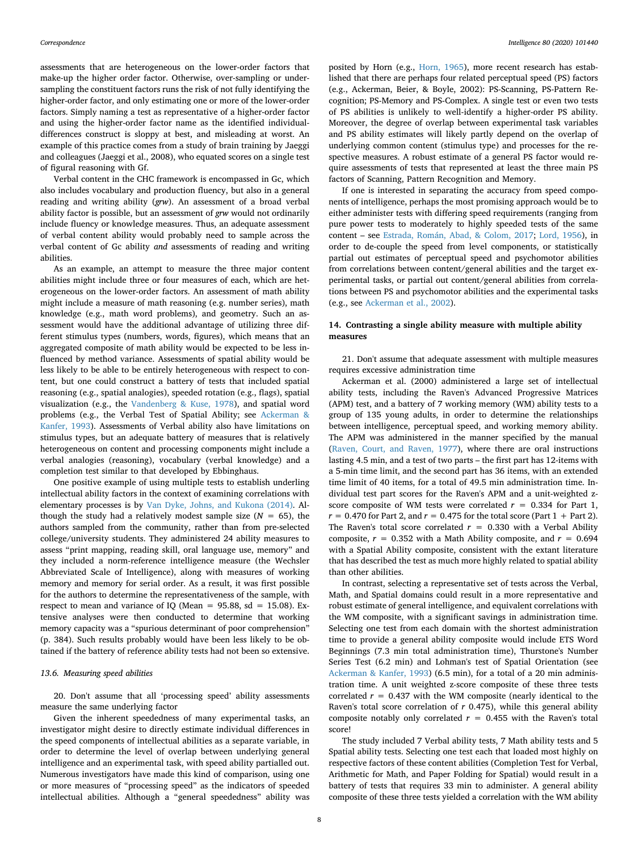assessments that are heterogeneous on the lower-order factors that make-up the higher order factor. Otherwise, over-sampling or undersampling the constituent factors runs the risk of not fully identifying the higher-order factor, and only estimating one or more of the lower-order factors. Simply naming a test as representative of a higher-order factor and using the higher-order factor name as the identified individualdifferences construct is sloppy at best, and misleading at worst. An example of this practice comes from a study of brain training by Jaeggi and colleagues (Jaeggi et al., 2008), who equated scores on a single test of figural reasoning with Gf.

Verbal content in the CHC framework is encompassed in Gc, which also includes vocabulary and production fluency, but also in a general reading and writing ability (*grw*). An assessment of a broad verbal ability factor is possible, but an assessment of *grw* would not ordinarily include fluency or knowledge measures. Thus, an adequate assessment of verbal content ability would probably need to sample across the verbal content of Gc ability *and* assessments of reading and writing abilities.

As an example, an attempt to measure the three major content abilities might include three or four measures of each, which are heterogeneous on the lower-order factors. An assessment of math ability might include a measure of math reasoning (e.g. number series), math knowledge (e.g., math word problems), and geometry. Such an assessment would have the additional advantage of utilizing three different stimulus types (numbers, words, figures), which means that an aggregated composite of math ability would be expected to be less influenced by method variance. Assessments of spatial ability would be less likely to be able to be entirely heterogeneous with respect to content, but one could construct a battery of tests that included spatial reasoning (e.g., spatial analogies), speeded rotation (e.g., flags), spatial visualization (e.g., the [Vandenberg & Kuse, 1978](#page-9-50)), and spatial word problems (e.g., the Verbal Test of Spatial Ability; see [Ackerman &](#page-8-33) [Kanfer, 1993](#page-8-33)). Assessments of Verbal ability also have limitations on stimulus types, but an adequate battery of measures that is relatively heterogeneous on content and processing components might include a verbal analogies (reasoning), vocabulary (verbal knowledge) and a completion test similar to that developed by Ebbinghaus.

One positive example of using multiple tests to establish underling intellectual ability factors in the context of examining correlations with elementary processes is by [Van Dyke, Johns, and Kukona \(2014\).](#page-9-51) Although the study had a relatively modest sample size  $(N = 65)$ , the authors sampled from the community, rather than from pre-selected college/university students. They administered 24 ability measures to assess "print mapping, reading skill, oral language use, memory" and they included a norm-reference intelligence measure (the Wechsler Abbreviated Scale of Intelligence), along with measures of working memory and memory for serial order. As a result, it was first possible for the authors to determine the representativeness of the sample, with respect to mean and variance of IQ (Mean =  $95.88$ , sd = 15.08). Extensive analyses were then conducted to determine that working memory capacity was a "spurious determinant of poor comprehension" (p. 384). Such results probably would have been less likely to be obtained if the battery of reference ability tests had not been so extensive.

#### *13.6. Measuring speed abilities*

20. Don't assume that all 'processing speed' ability assessments measure the same underlying factor

Given the inherent speededness of many experimental tasks, an investigator might desire to directly estimate individual differences in the speed components of intellectual abilities as a separate variable, in order to determine the level of overlap between underlying general intelligence and an experimental task, with speed ability partialled out. Numerous investigators have made this kind of comparison, using one or more measures of "processing speed" as the indicators of speeded intellectual abilities. Although a "general speededness" ability was

posited by Horn (e.g., [Horn, 1965](#page-9-52)), more recent research has established that there are perhaps four related perceptual speed (PS) factors (e.g., Ackerman, Beier, & Boyle, 2002): PS-Scanning, PS-Pattern Recognition; PS-Memory and PS-Complex. A single test or even two tests of PS abilities is unlikely to well-identify a higher-order PS ability. Moreover, the degree of overlap between experimental task variables and PS ability estimates will likely partly depend on the overlap of underlying common content (stimulus type) and processes for the respective measures. A robust estimate of a general PS factor would require assessments of tests that represented at least the three main PS factors of Scanning, Pattern Recognition and Memory.

If one is interested in separating the accuracy from speed components of intelligence, perhaps the most promising approach would be to either administer tests with differing speed requirements (ranging from pure power tests to moderately to highly speeded tests of the same content – see [Estrada, Román, Abad, & Colom, 2017;](#page-8-34) [Lord, 1956](#page-9-53)), in order to de-couple the speed from level components, or statistically partial out estimates of perceptual speed and psychomotor abilities from correlations between content/general abilities and the target experimental tasks, or partial out content/general abilities from correlations between PS and psychomotor abilities and the experimental tasks (e.g., see [Ackerman et al., 2002\)](#page-8-35).

# **14. Contrasting a single ability measure with multiple ability measures**

21. Don't assume that adequate assessment with multiple measures requires excessive administration time

Ackerman et al. (2000) administered a large set of intellectual ability tests, including the Raven's Advanced Progressive Matrices (APM) test, and a battery of 7 working memory (WM) ability tests to a group of 135 young adults, in order to determine the relationships between intelligence, perceptual speed, and working memory ability. The APM was administered in the manner specified by the manual ([Raven, Court, and Raven, 1977\)](#page-9-54), where there are oral instructions lasting 4.5 min, and a test of two parts – the first part has 12-items with a 5-min time limit, and the second part has 36 items, with an extended time limit of 40 items, for a total of 49.5 min administration time. Individual test part scores for the Raven's APM and a unit-weighted zscore composite of WM tests were correlated  $r = 0.334$  for Part 1,  $r = 0.470$  for Part 2, and  $r = 0.475$  for the total score (Part  $1 +$  Part 2). The Raven's total score correlated  $r = 0.330$  with a Verbal Ability composite,  $r = 0.352$  with a Math Ability composite, and  $r = 0.694$ with a Spatial Ability composite, consistent with the extant literature that has described the test as much more highly related to spatial ability than other abilities.

In contrast, selecting a representative set of tests across the Verbal, Math, and Spatial domains could result in a more representative and robust estimate of general intelligence, and equivalent correlations with the WM composite, with a significant savings in administration time. Selecting one test from each domain with the shortest administration time to provide a general ability composite would include ETS Word Beginnings (7.3 min total administration time), Thurstone's Number Series Test (6.2 min) and Lohman's test of Spatial Orientation (see [Ackerman & Kanfer, 1993\)](#page-8-33) (6.5 min), for a total of a 20 min administration time. A unit weighted z-score composite of these three tests correlated  $r = 0.437$  with the WM composite (nearly identical to the Raven's total score correlation of *r* 0.475), while this general ability composite notably only correlated  $r = 0.455$  with the Raven's total score!

The study included 7 Verbal ability tests, 7 Math ability tests and 5 Spatial ability tests. Selecting one test each that loaded most highly on respective factors of these content abilities (Completion Test for Verbal, Arithmetic for Math, and Paper Folding for Spatial) would result in a battery of tests that requires 33 min to administer. A general ability composite of these three tests yielded a correlation with the WM ability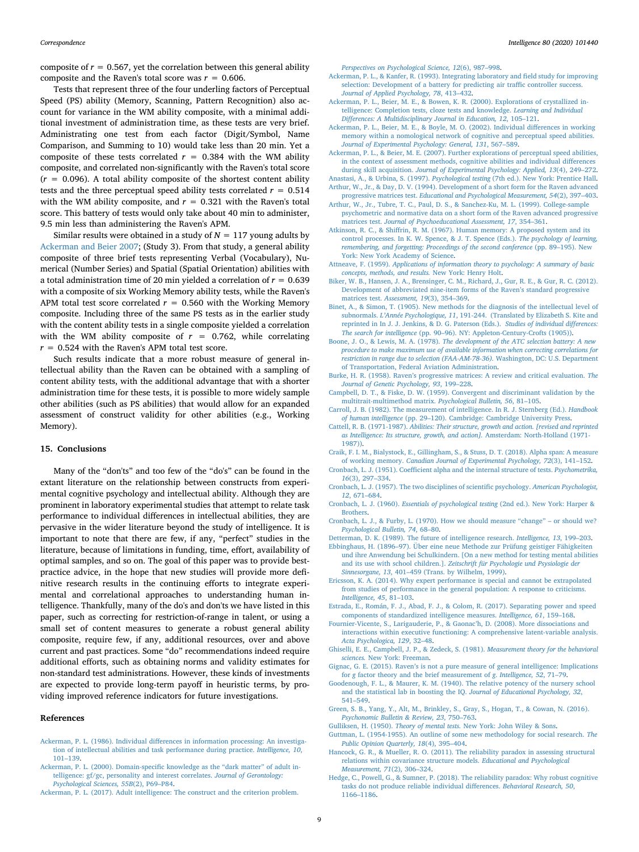composite of  $r = 0.567$ , yet the correlation between this general ability composite and the Raven's total score was  $r = 0.606$ .

Tests that represent three of the four underling factors of Perceptual Speed (PS) ability (Memory, Scanning, Pattern Recognition) also account for variance in the WM ability composite, with a minimal additional investment of administration time, as these tests are very brief. Administrating one test from each factor (Digit/Symbol, Name Comparison, and Summing to 10) would take less than 20 min. Yet a composite of these tests correlated  $r = 0.384$  with the WM ability composite, and correlated non-significantly with the Raven's total score  $(r = 0.096)$ . A total ability composite of the shortest content ability tests and the three perceptual speed ability tests correlated  $r = 0.514$ with the WM ability composite, and  $r = 0.321$  with the Raven's total score. This battery of tests would only take about 40 min to administer, 9.5 min less than administering the Raven's APM.

Similar results were obtained in a study of  $N = 117$  young adults by [Ackerman and Beier 2007](#page-8-36); (Study 3). From that study, a general ability composite of three brief tests representing Verbal (Vocabulary), Numerical (Number Series) and Spatial (Spatial Orientation) abilities with a total administration time of 20 min yielded a correlation of *r* = 0.639 with a composite of six Working Memory ability tests, while the Raven's APM total test score correlated  $r = 0.560$  with the Working Memory composite. Including three of the same PS tests as in the earlier study with the content ability tests in a single composite yielded a correlation with the WM ability composite of  $r = 0.762$ , while correlating  $r = 0.524$  with the Raven's APM total test score.

Such results indicate that a more robust measure of general intellectual ability than the Raven can be obtained with a sampling of content ability tests, with the additional advantage that with a shorter administration time for these tests, it is possible to more widely sample other abilities (such as PS abilities) that would allow for an expanded assessment of construct validity for other abilities (e.g., Working Memory).

## **15. Conclusions**

Many of the "don'ts" and too few of the "do's" can be found in the extant literature on the relationship between constructs from experimental cognitive psychology and intellectual ability. Although they are prominent in laboratory experimental studies that attempt to relate task performance to individual differences in intellectual abilities, they are pervasive in the wider literature beyond the study of intelligence. It is important to note that there are few, if any, "perfect" studies in the literature, because of limitations in funding, time, effort, availability of optimal samples, and so on. The goal of this paper was to provide bestpractice advice, in the hope that new studies will provide more definitive research results in the continuing efforts to integrate experimental and correlational approaches to understanding human intelligence. Thankfully, many of the do's and don'ts we have listed in this paper, such as correcting for restriction-of-range in talent, or using a small set of content measures to generate a robust general ability composite, require few, if any, additional resources, over and above current and past practices. Some "do" recommendations indeed require additional efforts, such as obtaining norms and validity estimates for non-standard test administrations. However, these kinds of investments are expected to provide long-term payoff in heuristic terms, by providing improved reference indicators for future investigations.

#### **References**

- <span id="page-8-23"></span>[Ackerman, P. L. \(1986\). Individual differences in information processing: An investiga](http://refhub.elsevier.com/S0160-2896(20)30018-0/rf0005)[tion of intellectual abilities and task performance during practice.](http://refhub.elsevier.com/S0160-2896(20)30018-0/rf0005) *Intelligence, 10*, [101–139](http://refhub.elsevier.com/S0160-2896(20)30018-0/rf0005).
- <span id="page-8-31"></span>[Ackerman, P. L. \(2000\). Domain-specific knowledge as the "dark matter" of adult in](http://refhub.elsevier.com/S0160-2896(20)30018-0/rf0010)[telligence: gf/gc, personality and interest correlates.](http://refhub.elsevier.com/S0160-2896(20)30018-0/rf0010) *Journal of Gerontology: [Psychological Sciences, 55B](http://refhub.elsevier.com/S0160-2896(20)30018-0/rf0010)*(2), P69–P84.

<span id="page-8-9"></span>[Ackerman, P. L. \(2017\). Adult intelligence: The construct and the criterion problem.](http://refhub.elsevier.com/S0160-2896(20)30018-0/rf0015)

*[Perspectives on Psychological Science, 12](http://refhub.elsevier.com/S0160-2896(20)30018-0/rf0015)*(6), 987–998.

- <span id="page-8-33"></span>[Ackerman, P. L., & Kanfer, R. \(1993\). Integrating laboratory and field study for improving](http://refhub.elsevier.com/S0160-2896(20)30018-0/rf0020) [selection: Development of a battery for predicting air traffic controller success.](http://refhub.elsevier.com/S0160-2896(20)30018-0/rf0020) *[Journal of Applied Psychology, 78](http://refhub.elsevier.com/S0160-2896(20)30018-0/rf0020)*, 413–432.
- <span id="page-8-29"></span>[Ackerman, P. L., Beier, M. E., & Bowen, K. R. \(2000\). Explorations of crystallized in](http://refhub.elsevier.com/S0160-2896(20)30018-0/rf0025)[telligence: Completion tests, cloze tests and knowledge.](http://refhub.elsevier.com/S0160-2896(20)30018-0/rf0025) *Learning and Individual [Differences: A Multidisciplinary Journal in Education, 12](http://refhub.elsevier.com/S0160-2896(20)30018-0/rf0025)*, 105–121.
- <span id="page-8-35"></span>[Ackerman, P. L., Beier, M. E., & Boyle, M. O. \(2002\). Individual differences in working](http://refhub.elsevier.com/S0160-2896(20)30018-0/rf0030) [memory within a nomological network of cognitive and perceptual speed abilities.](http://refhub.elsevier.com/S0160-2896(20)30018-0/rf0030) *[Journal of Experimental Psychology: General, 131](http://refhub.elsevier.com/S0160-2896(20)30018-0/rf0030)*, 567–589.
- <span id="page-8-36"></span>[Ackerman, P. L., & Beier, M. E. \(2007\). Further explorations of perceptual speed abilities,](http://refhub.elsevier.com/S0160-2896(20)30018-0/rf4141) [in the context of assessment methods, cognitive abilities and individual differences](http://refhub.elsevier.com/S0160-2896(20)30018-0/rf4141) during skill acquisition. *[Journal of Experimental Psychology: Applied, 13](http://refhub.elsevier.com/S0160-2896(20)30018-0/rf4141)*(4), 249–272.
- <span id="page-8-12"></span><span id="page-8-1"></span>Anastasi, A., & Urbina, S. (1997). *Psychological testing* [\(7th ed.\). New York: Prentice Hall.](http://refhub.elsevier.com/S0160-2896(20)30018-0/rf0035) [Arthur, W., Jr., & Day, D. V. \(1994\). Development of a short form for the Raven advanced](http://refhub.elsevier.com/S0160-2896(20)30018-0/rf0040)
- <span id="page-8-10"></span>progressive matrices test. *[Educational and Psychological Measurement, 54](http://refhub.elsevier.com/S0160-2896(20)30018-0/rf0040)*(2), 397–403. [Arthur, W., Jr., Tubre, T. C., Paul, D. S., & Sanchez-Ku, M. L. \(1999\). College-sample](http://refhub.elsevier.com/S0160-2896(20)30018-0/rf0045)
- [psychometric and normative data on a short form of the Raven advanced progressive](http://refhub.elsevier.com/S0160-2896(20)30018-0/rf0045) matrices test. *[Journal of Psychoeducational Assessment, 17](http://refhub.elsevier.com/S0160-2896(20)30018-0/rf0045)*, 354–361.
- <span id="page-8-24"></span>[Atkinson, R. C., & Shiffrin, R. M. \(1967\). Human memory: A proposed system and its](http://refhub.elsevier.com/S0160-2896(20)30018-0/rf0050) [control processes. In K. W. Spence, & J. T. Spence \(Eds.\).](http://refhub.elsevier.com/S0160-2896(20)30018-0/rf0050) *The psychology of learning, [remembering, and forgetting: Proceedings of the second conference](http://refhub.elsevier.com/S0160-2896(20)30018-0/rf0050)* (pp. 89–195). New [York: New York Academy of Science](http://refhub.elsevier.com/S0160-2896(20)30018-0/rf0050).
- <span id="page-8-25"></span>Attneave, F. (1959). *[Applications of information theory to psychology: A summary of basic](http://refhub.elsevier.com/S0160-2896(20)30018-0/rf0055) [concepts, methods, and results.](http://refhub.elsevier.com/S0160-2896(20)30018-0/rf0055)* New York: Henry Holt.
- <span id="page-8-11"></span>[Biker, W. B., Hansen, J. A., Brensinger, C. M., Richard, J., Gur, R. E., & Gur, R. C. \(2012\).](http://refhub.elsevier.com/S0160-2896(20)30018-0/rf0060) [Development of abbreviated nine-item forms of the Raven's standard progressive](http://refhub.elsevier.com/S0160-2896(20)30018-0/rf0060) matrices test. *[Assessment, 19](http://refhub.elsevier.com/S0160-2896(20)30018-0/rf0060)*(3), 354–369.
- <span id="page-8-7"></span>[Binet, A., & Simon, T. \(1905\). New methods for the diagnosis of the intellectual level of](http://refhub.elsevier.com/S0160-2896(20)30018-0/rf0065) subnormals. *L'Année Psychologique, 11*[, 191-244. \(Translated by Elizabeth S. Kite and](http://refhub.elsevier.com/S0160-2896(20)30018-0/rf0065) [reprinted in In J. J. Jenkins, & D. G. Paterson \(Eds.\).](http://refhub.elsevier.com/S0160-2896(20)30018-0/rf0065) *Studies of individual differences: The search for intelligence* [\(pp. 90–96\). NY: Appleton-Century-Crofts \(1905\)\)](http://refhub.elsevier.com/S0160-2896(20)30018-0/rf0065).
- <span id="page-8-16"></span>Boone, J. O., & Lewis, M. A. (1978). *[The development of the ATC selection battery: A new](http://refhub.elsevier.com/S0160-2896(20)30018-0/rf0070) [procedure to make maximum use of available information when correcting correlations for](http://refhub.elsevier.com/S0160-2896(20)30018-0/rf0070) [restriction in range due to selection \(FAA-AM-78-36\).](http://refhub.elsevier.com/S0160-2896(20)30018-0/rf0070)* Washington, DC: U.S. Department [of Transportation, Federal Aviation Administration.](http://refhub.elsevier.com/S0160-2896(20)30018-0/rf0070)
- <span id="page-8-26"></span>[Burke, H. R. \(1958\). Raven's progressive matrices: A review and critical evaluation.](http://refhub.elsevier.com/S0160-2896(20)30018-0/rf0075) *The [Journal of Genetic Psychology, 93](http://refhub.elsevier.com/S0160-2896(20)30018-0/rf0075)*, 199–228.
- <span id="page-8-22"></span>[Campbell, D. T., & Fiske, D. W. \(1959\). Convergent and discriminant validation by the](http://refhub.elsevier.com/S0160-2896(20)30018-0/rf0080) [multitrait-multimethod matrix.](http://refhub.elsevier.com/S0160-2896(20)30018-0/rf0080) *Psychological Bulletin, 56*, 81–105.
- <span id="page-8-32"></span>[Carroll, J. B. \(1982\). The measurement of intelligence. In R. J. Sternberg \(Ed.\).](http://refhub.elsevier.com/S0160-2896(20)30018-0/rf0085) *Handbook of human intelligence* [\(pp. 29–120\). Cambridge: Cambridge University Press.](http://refhub.elsevier.com/S0160-2896(20)30018-0/rf0085)
- <span id="page-8-30"></span>Cattell, R. B. (1971-1987). *[Abilities: Their structure, growth and action. \[revised and reprinted](http://refhub.elsevier.com/S0160-2896(20)30018-0/rf0090) [as Intelligence: Its structure, growth, and action\].](http://refhub.elsevier.com/S0160-2896(20)30018-0/rf0090)* Amsterdam: North-Holland (1971- [1987\)\).](http://refhub.elsevier.com/S0160-2896(20)30018-0/rf0090)
- <span id="page-8-4"></span>[Craik, F. I. M., Bialystock, E., Gillingham, S., & Stuss, D. T. \(2018\). Alpha span: A measure](http://refhub.elsevier.com/S0160-2896(20)30018-0/rf0095) of working memory. *[Canadian Journal of Experimental Psychology, 72](http://refhub.elsevier.com/S0160-2896(20)30018-0/rf0095)*(3), 141–152.
- <span id="page-8-5"></span>[Cronbach, L. J. \(1951\). Coefficient alpha and the internal structure of tests.](http://refhub.elsevier.com/S0160-2896(20)30018-0/rf0100) *Psychometrika, 16*[\(3\), 297–334.](http://refhub.elsevier.com/S0160-2896(20)30018-0/rf0100)
- <span id="page-8-0"></span>[Cronbach, L. J. \(1957\). The two disciplines of scientific psychology.](http://refhub.elsevier.com/S0160-2896(20)30018-0/rf0105) *American Psychologist, 12*[, 671–684](http://refhub.elsevier.com/S0160-2896(20)30018-0/rf0105).
- <span id="page-8-6"></span>Cronbach, L. J. (1960). *[Essentials of psychological testing](http://refhub.elsevier.com/S0160-2896(20)30018-0/rf0110)* (2nd ed.). New York: Harper & **[Brothers](http://refhub.elsevier.com/S0160-2896(20)30018-0/rf0110)**
- <span id="page-8-14"></span>[Cronbach, L. J., & Furby, L. \(1970\). How we should measure "change" – or should we?](http://refhub.elsevier.com/S0160-2896(20)30018-0/rf0115) *[Psychological Bulletin, 74](http://refhub.elsevier.com/S0160-2896(20)30018-0/rf0115)*, 68–80.
- <span id="page-8-28"></span><span id="page-8-18"></span>[Detterman, D. K. \(1989\). The future of intelligence research.](http://refhub.elsevier.com/S0160-2896(20)30018-0/rf0120) *Intelligence, 13*, 199–203. [Ebbinghaus, H. \(1896–97\). Über eine neue Methode zur Prüfung geistiger Fähigkeiten](http://refhub.elsevier.com/S0160-2896(20)30018-0/rf0125) [und ihre Anwendung bei Schulkindern. \[On a new method for testing mental abilities](http://refhub.elsevier.com/S0160-2896(20)30018-0/rf0125) and its use with school children.]. *[Zeitschrift für Psychologie und Psysiologie der](http://refhub.elsevier.com/S0160-2896(20)30018-0/rf0125)*
- <span id="page-8-19"></span>*Sinnesorgane, 13*[, 401–459 \(Trans. by Wilhelm, 1999\).](http://refhub.elsevier.com/S0160-2896(20)30018-0/rf0125) [Ericsson, K. A. \(2014\). Why expert performance is special and cannot be extrapolated](http://refhub.elsevier.com/S0160-2896(20)30018-0/rf0130)
- [from studies of performance in the general population: A response to criticisms.](http://refhub.elsevier.com/S0160-2896(20)30018-0/rf0130) *[Intelligence, 45](http://refhub.elsevier.com/S0160-2896(20)30018-0/rf0130)*, 81–103.
- <span id="page-8-34"></span>[Estrada, E., Román, F. J., Abad, F. J., & Colom, R. \(2017\). Separating power and speed](http://refhub.elsevier.com/S0160-2896(20)30018-0/rf0135) [components of standardized intelligence measures.](http://refhub.elsevier.com/S0160-2896(20)30018-0/rf0135) *Intelligence, 61*, 159–168.
- <span id="page-8-20"></span>[Fournier-Vicente, S., Larigauderie, P., & Gaonac'h, D. \(2008\). More dissociations and](http://refhub.elsevier.com/S0160-2896(20)30018-0/rf0140) [interactions within executive functioning: A comprehensive latent-variable analysis.](http://refhub.elsevier.com/S0160-2896(20)30018-0/rf0140) *[Acta Psychologica, 129](http://refhub.elsevier.com/S0160-2896(20)30018-0/rf0140)*, 32–48.
- <span id="page-8-15"></span>[Ghiselli, E. E., Campbell, J. P., & Zedeck, S. \(1981\).](http://refhub.elsevier.com/S0160-2896(20)30018-0/rf0145) *Measurement theory for the behavioral sciences.* [New York: Freeman.](http://refhub.elsevier.com/S0160-2896(20)30018-0/rf0145)
- <span id="page-8-8"></span>[Gignac, G. E. \(2015\). Raven's is not a pure measure of general intelligence: Implications](http://refhub.elsevier.com/S0160-2896(20)30018-0/rf0150) for *g* [factor theory and the brief measurement of](http://refhub.elsevier.com/S0160-2896(20)30018-0/rf0150) *g*. *Intelligence, 52*, 71–79.
- <span id="page-8-13"></span>[Goodenough, F. L., & Maurer, K. M. \(1940\). The relative potency of the nursery school](http://refhub.elsevier.com/S0160-2896(20)30018-0/rf0155) [and the statistical lab in boosting the IQ.](http://refhub.elsevier.com/S0160-2896(20)30018-0/rf0155) *Journal of Educational Psychology, 32*, [541–549](http://refhub.elsevier.com/S0160-2896(20)30018-0/rf0155).
- <span id="page-8-2"></span>[Green, S. B., Yang, Y., Alt, M., Brinkley, S., Gray, S., Hogan, T., & Cowan, N. \(2016\).](http://refhub.elsevier.com/S0160-2896(20)30018-0/rf0160) *[Psychonomic Bulletin & Review, 23](http://refhub.elsevier.com/S0160-2896(20)30018-0/rf0160)*, 750–763.
- <span id="page-8-27"></span><span id="page-8-17"></span>Gulliksen, H. (1950). *Theory of mental tests.* [New York: John Wiley & Sons](http://refhub.elsevier.com/S0160-2896(20)30018-0/rf0165). [Guttman, L. \(1954-1955\). An outline of some new methodology for social research.](http://refhub.elsevier.com/S0160-2896(20)30018-0/rf0170) *The [Public Opinion Quarterly, 18](http://refhub.elsevier.com/S0160-2896(20)30018-0/rf0170)*(4), 395–404.
- <span id="page-8-21"></span>[Hancock, G. R., & Mueller, R. O. \(2011\). The reliability paradox in assessing structural](http://refhub.elsevier.com/S0160-2896(20)30018-0/rf0175) [relations within covariance structure models.](http://refhub.elsevier.com/S0160-2896(20)30018-0/rf0175) *Educational and Psychological [Measurement, 71](http://refhub.elsevier.com/S0160-2896(20)30018-0/rf0175)*(2), 306–324.
- <span id="page-8-3"></span>[Hedge, C., Powell, G., & Sumner, P. \(2018\). The reliability paradox: Why robust cognitive](http://refhub.elsevier.com/S0160-2896(20)30018-0/rf0180) [tasks do not produce reliable individual differences.](http://refhub.elsevier.com/S0160-2896(20)30018-0/rf0180) *Behavioral Research, 50*, [1166–1186](http://refhub.elsevier.com/S0160-2896(20)30018-0/rf0180).